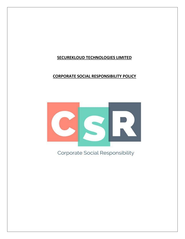# **SECUREKLOUD TECHNOLOGIES LIMITED**

# **CORPORATE SOCIAL RESPONSIBILITY POLICY**



Corporate Social Responsibility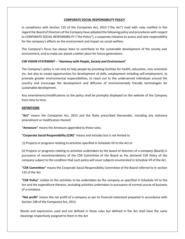# **CORPORATE SOCIAL RESPONSIBILITY POLICY**

In compliance with Section 135 of the Companies Act, 2013 ("the Act") read with rules notified in this regard the Board of Directors of the Company have adopted the following policy and procedures with respect to CORPORATE SOCIAL RESPONSIBILITY ("the Policy"), a corporate initiative to assess and take responsibility for the company's effects on the environment and impact on social welfare.

The Company's focus has always been to contribute to the sustainable development of the society and environment, and to make our planet a better place for future generations.

#### **CSR VISION STATEMENT** – "*Harmony with People, Society and Environment*"

The Company's policy is not only to help people by providing facilities for health, education, civic amenities etc. but also to create opportunities for development of skills, employment including self-employment, to promote greater environmental responsibilities, to reach out to the underserved individuals around the country and encourage the development and diffusion of environmentally friendly technologies for sustainable development.

Any amendments/modifications to the policy shall be promptly displayed on the website of the Company from time to time.

#### **DEFINITIONS**

**"Act"** means the Companies Act, 2013 and the Rules prescribed thereunder, including any statutory amendment or modification thereof.

**"Annexure"** means the Annexure appended to these rules;

**"Corporate Social Responsibility (CSR)"** means and includes but is not limited to

(i) Projects or programs relating to activities specified in Schedule VII to the Act or

(ii) Projects or programs relating to activities undertaken by the board of directors of a company (Board) in pursuance of recommendations of the CSR Committee of the Board as Per declared CSR Policy of the company subject to the condition that such policy will cover subjects enumerated in Schedule Vll of the Act.

**"CSR Committee"** means the Corporate Social Responsibility Committee of the Board referred to in section 135 of the Act

**"CSR Policy"** relates to the activities to be undertaken by the company as specified in Schedule VII to the Act and the expenditure thereon, excluding activities undertaken in pursuance of normal course of business of a company.

**"Net profit"** means the net profit of a company as per its financial statement prepared in accordance with Section 198 of the Companies Act, 2013.

Words and expressions used and not defined in these rules but defined in the Act shall have the same meanings respectively assigned to them in the Act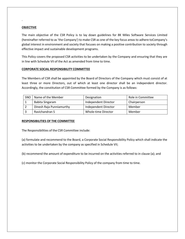# **OBJECTIVE**

.

The main objective of the CSR Policy is to lay down guidelines for 8K Miles Software Services Limited (hereinafter referred to as 'the Company') to make CSR as one of the key focus areas to adhere toCompany's global interest in environment and society that focuses on making a positive contribution to society through effective impact and sustainable development programs.

This Policy covers the proposed CSR activities to be undertaken by the Company and ensuring that they are in line with Schedule VII of the Act as amended from time to time.

# **CORPORATE SOCIAL RESPONSIBILITY COMMITTEE**

The Members of CSR shall be appointed by the Board of Directors of the Company which must consist of at least three or more Directors, out of which at least one director shall be an independent director. Accordingly, the constitution of CSR Committee formed by the Company is as follows:

| SNO | Name of the Member       | Designation          | Role in Committee |
|-----|--------------------------|----------------------|-------------------|
|     | Babita Singaram          | Independent Director | Chairperson       |
|     | Dinesh Raja Punniamurthy | Independent Director | Member            |
|     | Ravichandran S           | Whole-time Director  | Member            |

#### **RESPONSIBILITIES OF THE COMMITTEE**

The Responsibilities of the CSR Committee include:

(a) formulate and recommend to the Board, a Corporate Social Responsibility Policy which shall indicate the activities to be undertaken by the company as specified in Schedule VII;

(b) recommend the amount of expenditure to be incurred on the activities referred to in clause (a); and

(c) monitor the Corporate Social Responsibility Policy of the company from time to time.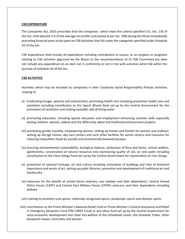#### **CSR EXPENDITURE**

The Companies Act, 2013 prescribes that the companies which meet the criteria specified U/s. Sec. 135 of the Act, shall allocate 2 % of the average net profits (calculated as per Sec. 198) during the three immediately preceding financial years to be spent on CSR Activitiesthat fall under the categories specified under Schedule VII of the Act.

CSR expenditure shall include all expenditure including contribution to corpus, or on projects or programs relating to CSR activities approved by the Board on the recommendation of its CSR Committee but does not include any expenditure on an item not in conformity or not in line with activities which fall within the purview of Schedule VII of the Act.

# **CSR ACTIVITIES**

Activities which may be included by companies in their Corporate Social Responsibility Policies Activities relating to:

- (i) Eradicating hunger, poverty and malnutrition, promoting health care including preventive health care and sanitation including contribution to the Swach Bharat Kosh set-up by the Central Government for the promotion of sanitation and making available safe drinking water.
- (ii) promoting education, including special education and employment enhancing vocation skills especially among children, women, elderly and the differently abled and livelihood enhancement projects.
- (iii) promoting gender equality, empowering women, setting up homes and hostels for women and orphans; setting up old age homes, day care centers and such other facilities for senior citizens and measures for reducing inequalities faced by socially and economically backward groups.
- (iv) ensuring environmental sustainability, ecological balance, protection of flora and fauna, animal welfare, agroforestry, conservation of natural resources and maintaining quality of soil, air and water including contribution to the Clean Ganga Fund set-up by the Central Government for rejuvenation of river Ganga.
- (v) protection of national heritage, art and culture including restoration of buildings and sites of historical importance and works of art; setting up public libraries; promotion and development of traditional art and handicrafts.
- (vi) measures for the benefit of armed forces veterans, war widows and their dependents; Central Armed Police Forces (CAPF) and Central Para Military Forces (CPMF) veterans, and their dependents including widows
- (vii) training to promote rural sports, nationally recognised sports, paralympic sports and olympic sports
- (viii) contribution to the Prime Minister's National Relief Fund or Prime Minister's Central Assistance and Relief in Emergency Situations Fund (PM CARES Fund) or any other fund set up by the Central Government for socio-economic development and relief and welfare of the Scheduled Castes, the Schedule Tribes, other backward classes, minorities and women